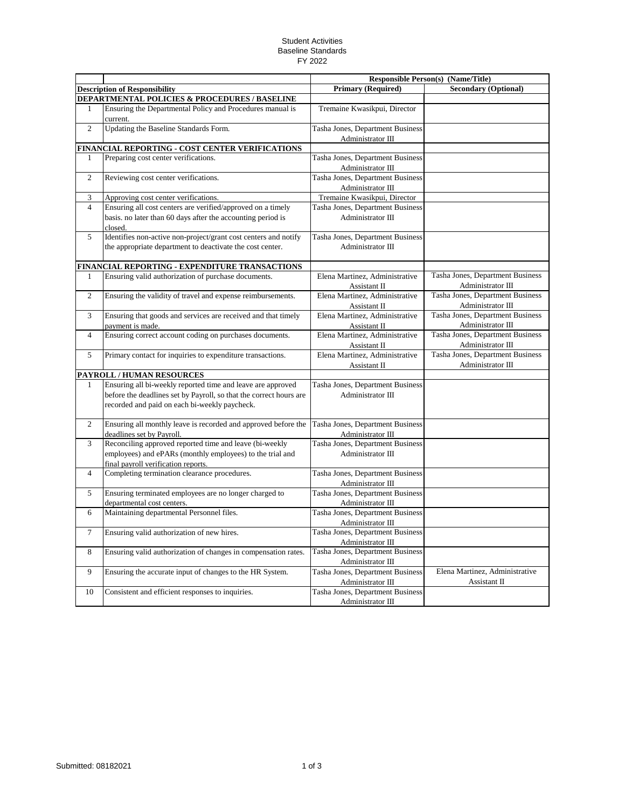## Student Activities Baseline Standards FY 2022

|                |                                                                                                                     | <b>Responsible Person(s) (Name/Title)</b>             |                                                       |
|----------------|---------------------------------------------------------------------------------------------------------------------|-------------------------------------------------------|-------------------------------------------------------|
|                | <b>Description of Responsibility</b>                                                                                | <b>Primary (Required)</b>                             | <b>Secondary (Optional)</b>                           |
|                | <b>DEPARTMENTAL POLICIES &amp; PROCEDURES / BASELINE</b>                                                            |                                                       |                                                       |
|                | Ensuring the Departmental Policy and Procedures manual is<br>current.                                               | Tremaine Kwasikpui, Director                          |                                                       |
| $\overline{2}$ | Updating the Baseline Standards Form.                                                                               | Tasha Jones, Department Business                      |                                                       |
|                |                                                                                                                     | Administrator III                                     |                                                       |
|                | FINANCIAL REPORTING - COST CENTER VERIFICATIONS                                                                     |                                                       |                                                       |
| 1              | Preparing cost center verifications.                                                                                | Tasha Jones, Department Business<br>Administrator III |                                                       |
| 2              | Reviewing cost center verifications.                                                                                | Tasha Jones, Department Business                      |                                                       |
|                |                                                                                                                     | Administrator III                                     |                                                       |
| 3              | Approving cost center verifications.                                                                                | Tremaine Kwasikpui, Director                          |                                                       |
| $\overline{4}$ | Ensuring all cost centers are verified/approved on a timely                                                         | Tasha Jones, Department Business                      |                                                       |
|                | basis, no later than 60 days after the accounting period is<br>closed.                                              | Administrator III                                     |                                                       |
| 5              | Identifies non-active non-project/grant cost centers and notify                                                     | Tasha Jones, Department Business                      |                                                       |
|                | the appropriate department to deactivate the cost center.                                                           | Administrator III                                     |                                                       |
|                | FINANCIAL REPORTING - EXPENDITURE TRANSACTIONS                                                                      |                                                       |                                                       |
| 1              | Ensuring valid authorization of purchase documents.                                                                 | Elena Martinez, Administrative<br>Assistant II        | Tasha Jones, Department Business<br>Administrator III |
| $\overline{2}$ | Ensuring the validity of travel and expense reimbursements.                                                         | Elena Martinez, Administrative<br>Assistant II        | Tasha Jones, Department Business<br>Administrator III |
| 3              | Ensuring that goods and services are received and that timely<br>payment is made.                                   | Elena Martinez, Administrative<br>Assistant II        | Tasha Jones, Department Business<br>Administrator III |
| $\overline{4}$ | Ensuring correct account coding on purchases documents.                                                             | Elena Martinez, Administrative<br>Assistant II        | Tasha Jones, Department Business<br>Administrator III |
| 5              | Primary contact for inquiries to expenditure transactions.                                                          | Elena Martinez, Administrative<br>Assistant II        | Tasha Jones, Department Business<br>Administrator III |
|                | PAYROLL / HUMAN RESOURCES                                                                                           |                                                       |                                                       |
| $\mathbf{1}$   | Ensuring all bi-weekly reported time and leave are approved                                                         | Tasha Jones, Department Business                      |                                                       |
|                | before the deadlines set by Payroll, so that the correct hours are<br>recorded and paid on each bi-weekly paycheck. | Administrator III                                     |                                                       |
| $\overline{2}$ | Ensuring all monthly leave is recorded and approved before the<br>deadlines set by Payroll.                         | Tasha Jones, Department Business<br>Administrator III |                                                       |
| 3              | Reconciling approved reported time and leave (bi-weekly                                                             | Tasha Jones, Department Business                      |                                                       |
|                | employees) and ePARs (monthly employees) to the trial and<br>final payroll verification reports.                    | Administrator III                                     |                                                       |
| $\overline{4}$ | Completing termination clearance procedures.                                                                        | Tasha Jones, Department Business                      |                                                       |
|                |                                                                                                                     | Administrator III                                     |                                                       |
| 5              | Ensuring terminated employees are no longer charged to                                                              | Tasha Jones, Department Business                      |                                                       |
|                | departmental cost centers.<br>Maintaining departmental Personnel files.                                             | Administrator III<br>Tasha Jones, Department Business |                                                       |
| 6              |                                                                                                                     | Administrator III                                     |                                                       |
| $\tau$         | Ensuring valid authorization of new hires.                                                                          | Tasha Jones, Department Business<br>Administrator III |                                                       |
| 8              | Ensuring valid authorization of changes in compensation rates.                                                      | Tasha Jones, Department Business<br>Administrator III |                                                       |
| 9              | Ensuring the accurate input of changes to the HR System.                                                            | Tasha Jones, Department Business<br>Administrator III | Elena Martinez, Administrative<br>Assistant II        |
| 10             | Consistent and efficient responses to inquiries.                                                                    | Tasha Jones, Department Business<br>Administrator III |                                                       |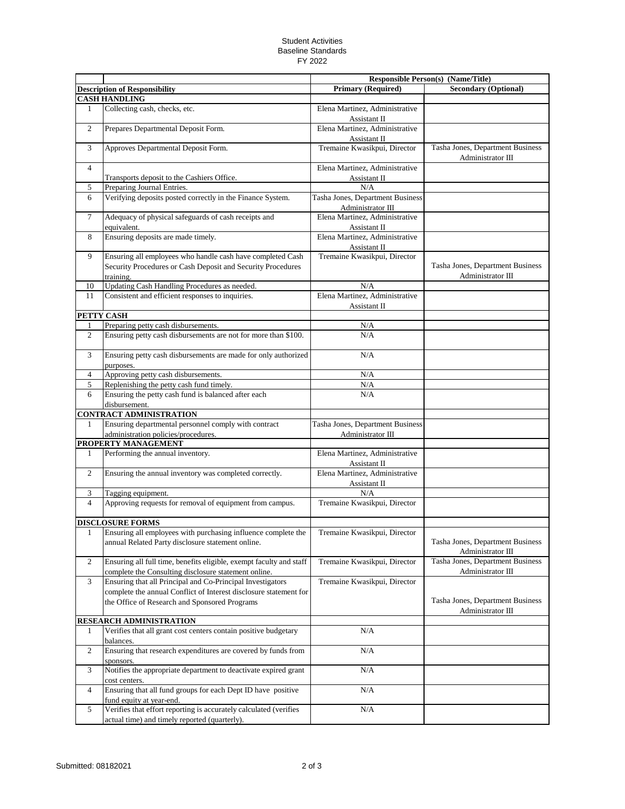## Student Activities Baseline Standards FY 2022

|                                |                                                                                                                                                |                                                       | <b>Responsible Person(s) (Name/Title)</b>             |
|--------------------------------|------------------------------------------------------------------------------------------------------------------------------------------------|-------------------------------------------------------|-------------------------------------------------------|
|                                | <b>Description of Responsibility</b>                                                                                                           | <b>Primary (Required)</b>                             | <b>Secondary (Optional)</b>                           |
|                                | <b>CASH HANDLING</b>                                                                                                                           |                                                       |                                                       |
| 1                              | Collecting cash, checks, etc.                                                                                                                  | Elena Martinez, Administrative<br>Assistant II        |                                                       |
| $\overline{c}$                 | Prepares Departmental Deposit Form.                                                                                                            | Elena Martinez, Administrative<br>Assistant II        |                                                       |
| 3                              | Approves Departmental Deposit Form.                                                                                                            | Tremaine Kwasikpui, Director                          | Tasha Jones, Department Business<br>Administrator III |
| $\overline{4}$                 |                                                                                                                                                | Elena Martinez, Administrative                        |                                                       |
|                                | Transports deposit to the Cashiers Office.                                                                                                     | Assistant II                                          |                                                       |
| 5                              | Preparing Journal Entries.                                                                                                                     | N/A                                                   |                                                       |
| 6                              | Verifying deposits posted correctly in the Finance System.                                                                                     | Tasha Jones, Department Business<br>Administrator III |                                                       |
| 7                              | Adequacy of physical safeguards of cash receipts and<br>equivalent.                                                                            | Elena Martinez, Administrative<br>Assistant II        |                                                       |
| 8                              | Ensuring deposits are made timely.                                                                                                             | Elena Martinez, Administrative<br>Assistant II        |                                                       |
| 9                              | Ensuring all employees who handle cash have completed Cash                                                                                     | Tremaine Kwasikpui, Director                          |                                                       |
|                                | Security Procedures or Cash Deposit and Security Procedures<br>training.                                                                       |                                                       | Tasha Jones, Department Business<br>Administrator III |
| 10                             | Updating Cash Handling Procedures as needed.                                                                                                   | N/A                                                   |                                                       |
| 11                             | Consistent and efficient responses to inquiries.                                                                                               | Elena Martinez, Administrative<br>Assistant II        |                                                       |
|                                | PETTY CASH                                                                                                                                     |                                                       |                                                       |
| 1                              | Preparing petty cash disbursements.                                                                                                            | N/A                                                   |                                                       |
| 2                              | Ensuring petty cash disbursements are not for more than \$100.                                                                                 | N/A                                                   |                                                       |
| 3                              | Ensuring petty cash disbursements are made for only authorized<br>purposes.                                                                    | N/A                                                   |                                                       |
| $\overline{4}$                 | Approving petty cash disbursements.                                                                                                            | N/A                                                   |                                                       |
| 5                              | Replenishing the petty cash fund timely.                                                                                                       | N/A                                                   |                                                       |
| 6                              | Ensuring the petty cash fund is balanced after each<br>disbursement.                                                                           | N/A                                                   |                                                       |
|                                | <b>CONTRACT ADMINISTRATION</b>                                                                                                                 |                                                       |                                                       |
| 1                              | Ensuring departmental personnel comply with contract<br>administration policies/procedures.                                                    | Tasha Jones, Department Business<br>Administrator III |                                                       |
|                                | PROPERTY MANAGEMENT                                                                                                                            |                                                       |                                                       |
| 1                              | Performing the annual inventory.                                                                                                               | Elena Martinez, Administrative<br>Assistant II        |                                                       |
| 2                              | Ensuring the annual inventory was completed correctly.                                                                                         | Elena Martinez, Administrative<br>Assistant II        |                                                       |
| 3                              | Tagging equipment.                                                                                                                             | N/A                                                   |                                                       |
| $\overline{4}$                 | Approving requests for removal of equipment from campus.                                                                                       | Tremaine Kwasikpui, Director                          |                                                       |
|                                | <b>DISCLOSURE FORMS</b>                                                                                                                        |                                                       |                                                       |
|                                | Ensuring all employees with purchasing influence complete the<br>annual Related Party disclosure statement online.                             | Tremaine Kwasikpui, Director                          | Tasha Jones, Department Business<br>Administrator III |
| $\overline{c}$                 | Ensuring all full time, benefits eligible, exempt faculty and staff                                                                            | Tremaine Kwasikpui, Director                          | Tasha Jones, Department Business<br>Administrator III |
| 3                              | complete the Consulting disclosure statement online.<br>Ensuring that all Principal and Co-Principal Investigators                             | Tremaine Kwasikpui, Director                          |                                                       |
|                                | complete the annual Conflict of Interest disclosure statement for                                                                              |                                                       |                                                       |
|                                | the Office of Research and Sponsored Programs                                                                                                  |                                                       | Tasha Jones, Department Business<br>Administrator III |
| <b>RESEARCH ADMINISTRATION</b> |                                                                                                                                                |                                                       |                                                       |
| $\mathbf{1}$                   | Verifies that all grant cost centers contain positive budgetary<br>balances.                                                                   | $\rm N/A$                                             |                                                       |
| $\overline{c}$                 | Ensuring that research expenditures are covered by funds from<br>sponsors.                                                                     | N/A                                                   |                                                       |
| 3                              | Notifies the appropriate department to deactivate expired grant<br>cost centers.                                                               | $\rm N/A$                                             |                                                       |
| $\overline{4}$                 | Ensuring that all fund groups for each Dept ID have positive                                                                                   | $\rm N/A$                                             |                                                       |
| 5                              | fund equity at year-end.<br>Verifies that effort reporting is accurately calculated (verifies<br>actual time) and timely reported (quarterly). | $\rm N/A$                                             |                                                       |
|                                |                                                                                                                                                |                                                       |                                                       |